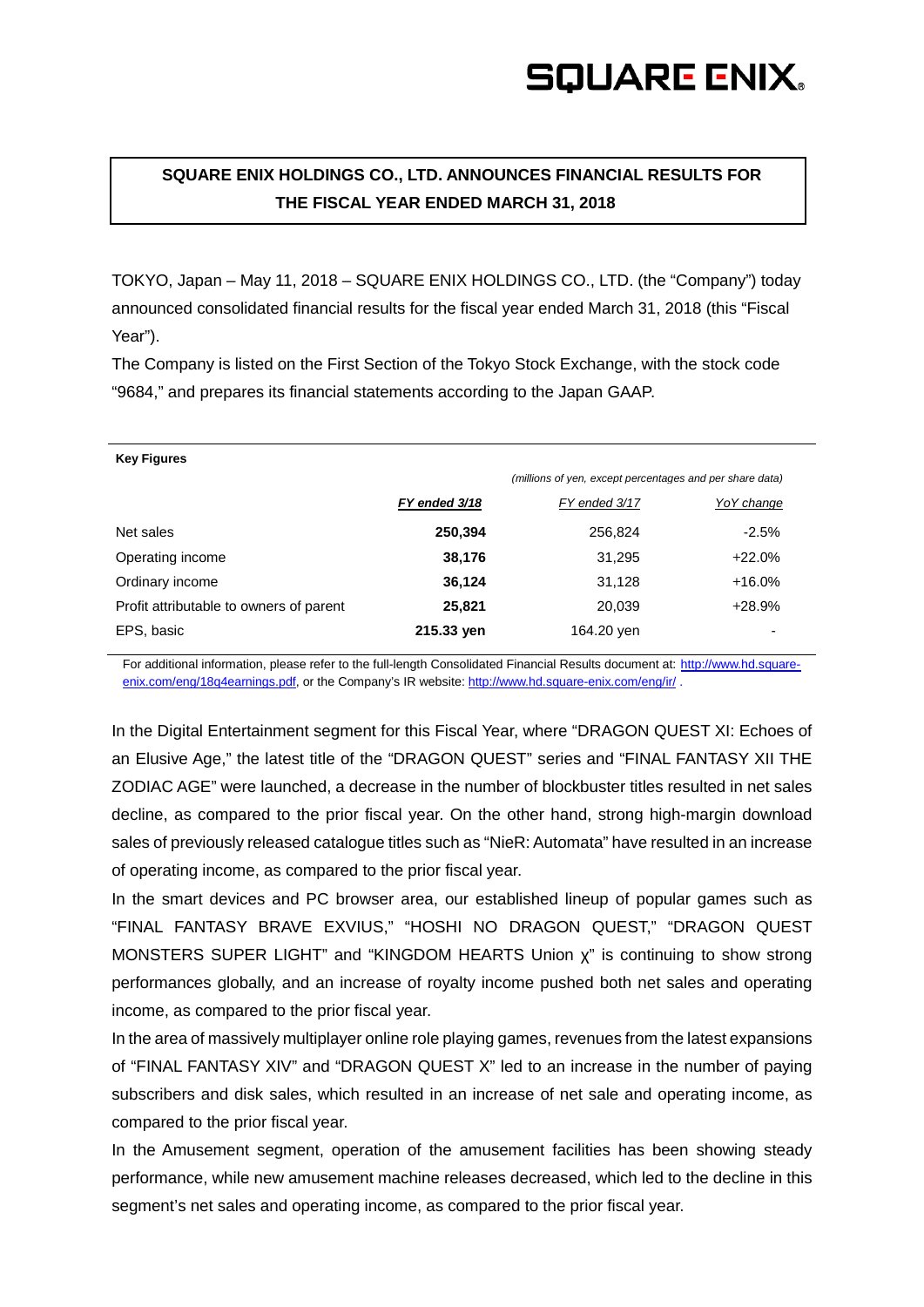## **SOUARE ENIX.**

## **SQUARE ENIX HOLDINGS CO., LTD. ANNOUNCES FINANCIAL RESULTS FOR THE FISCAL YEAR ENDED MARCH 31, 2018**

TOKYO, Japan – May 11, 2018 – SQUARE ENIX HOLDINGS CO., LTD. (the "Company") today announced consolidated financial results for the fiscal year ended March 31, 2018 (this "Fiscal Year").

The Company is listed on the First Section of the Tokyo Stock Exchange, with the stock code "9684," and prepares its financial statements according to the Japan GAAP.

| <b>Key Figures</b>                      |               |                                                          |             |
|-----------------------------------------|---------------|----------------------------------------------------------|-------------|
|                                         |               | (millions of yen, except percentages and per share data) |             |
|                                         | FY ended 3/18 | FY ended 3/17                                            | Yo Y change |
| Net sales                               | 250,394       | 256,824                                                  | $-2.5%$     |
| Operating income                        | 38,176        | 31,295                                                   | $+22.0%$    |
| Ordinary income                         | 36,124        | 31,128                                                   | $+16.0%$    |
| Profit attributable to owners of parent | 25,821        | 20,039                                                   | +28.9%      |
| EPS, basic                              | 215.33 yen    | 164.20 yen                                               |             |

For additional information, please refer to the full-length Consolidated Financial Results document at: [http://www.hd.square](http://www.hd.square-enix.com/eng/18q4earnings.pdf)[enix.com/eng/18q4earnings.pdf,](http://www.hd.square-enix.com/eng/18q4earnings.pdf) or the Company's IR website:<http://www.hd.square-enix.com/eng/ir/>.

In the Digital Entertainment segment for this Fiscal Year, where "DRAGON QUEST XI: Echoes of an Elusive Age," the latest title of the "DRAGON QUEST" series and "FINAL FANTASY XII THE ZODIAC AGE" were launched, a decrease in the number of blockbuster titles resulted in net sales decline, as compared to the prior fiscal year. On the other hand, strong high-margin download sales of previously released catalogue titles such as "NieR: Automata" have resulted in an increase of operating income, as compared to the prior fiscal year.

In the smart devices and PC browser area, our established lineup of popular games such as "FINAL FANTASY BRAVE EXVIUS," "HOSHI NO DRAGON QUEST," "DRAGON QUEST MONSTERS SUPER LIGHT" and "KINGDOM HEARTS Union χ" is continuing to show strong performances globally, and an increase of royalty income pushed both net sales and operating income, as compared to the prior fiscal year.

In the area of massively multiplayer online role playing games, revenues from the latest expansions of "FINAL FANTASY XIV" and "DRAGON QUEST X" led to an increase in the number of paying subscribers and disk sales, which resulted in an increase of net sale and operating income, as compared to the prior fiscal year.

In the Amusement segment, operation of the amusement facilities has been showing steady performance, while new amusement machine releases decreased, which led to the decline in this segment's net sales and operating income, as compared to the prior fiscal year.